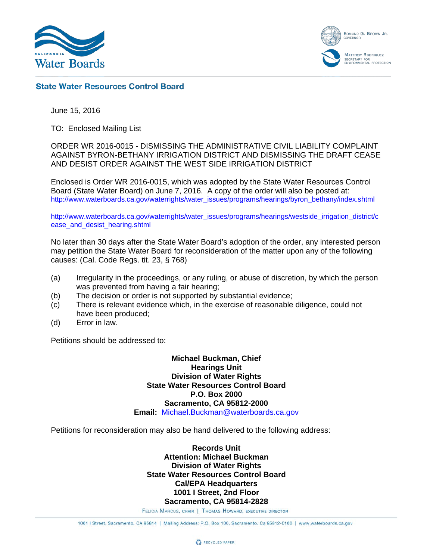

EDMUND G. BROWN JR. **MATTHEW RODRIQUEZ** SECRETARY FOR<br>ENVIRONMENTAL PROTECTION

## **State Water Resources Control Board**

June 15, 2016

TO: Enclosed Mailing List

ORDER WR 2016-0015 - DISMISSING THE ADMINISTRATIVE CIVIL LIABILITY COMPLAINT AGAINST BYRON-BETHANY IRRIGATION DISTRICT AND DISMISSING THE DRAFT CEASE AND DESIST ORDER AGAINST THE WEST SIDE IRRIGATION DISTRICT

Enclosed is Order WR 2016-0015, which was adopted by the State Water Resources Control Board (State Water Board) on June 7, 2016. A copy of the order will also be posted at: [http://www.waterboards.ca.gov/waterrights/water\\_issues/programs/hearings/byron\\_bethany/index.shtml](http://www.waterboards.ca.gov/waterrights/water_issues/programs/hearings/byron_bethany/index.shtml)

[http://www.waterboards.ca.gov/waterrights/water\\_issues/programs/hearings/westside\\_irrigation\\_district/c](http://www.waterboards.ca.gov/waterrights/water_issues/programs/hearings/westside_irrigation_district/cease_and_desist_hearing.shtml) [ease\\_and\\_desist\\_hearing.shtml](http://www.waterboards.ca.gov/waterrights/water_issues/programs/hearings/westside_irrigation_district/cease_and_desist_hearing.shtml)

No later than 30 days after the State Water Board's adoption of the order, any interested person may petition the State Water Board for reconsideration of the matter upon any of the following causes: (Cal. Code Regs. tit. 23, § 768)

- (a) Irregularity in the proceedings, or any ruling, or abuse of discretion, by which the person was prevented from having a fair hearing;
- (b) The decision or order is not supported by substantial evidence;
- (c) There is relevant evidence which, in the exercise of reasonable diligence, could not have been produced;
- (d) Error in law.

Petitions should be addressed to:

**Michael Buckman, Chief Hearings Unit Division of Water Rights State Water Resources Control Board P.O. Box 2000 Sacramento, CA 95812-2000 Email:** [Michael.Buckman@waterboards.ca.gov](mailto:Michael.Buckman@waterboards.ca.gov)

Petitions for reconsideration may also be hand delivered to the following address:

**Records Unit Attention: Michael Buckman Division of Water Rights State Water Resources Control Board Cal/EPA Headquarters 1001 I Street, 2nd Floor Sacramento, CA 95814-2828**

FELICIA MARCUS, CHAIR | THOMAS HOWARD, EXECUTIVE DIRECTOR

1001 | Street, Sacramento, CA 95814 | Mailing Address: P.O. Box 100, Sacramento, Ca 95812-0100 | www.waterboards.ca.gov

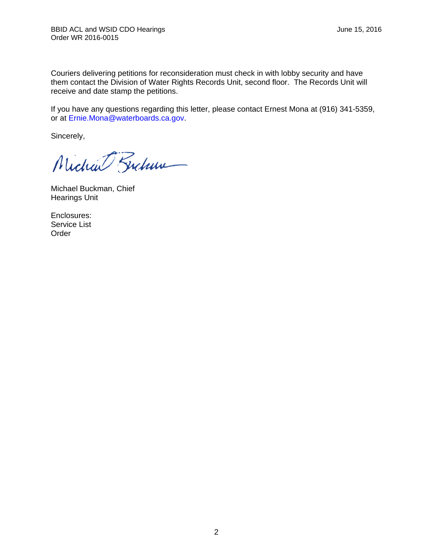Couriers delivering petitions for reconsideration must check in with lobby security and have them contact the Division of Water Rights Records Unit, second floor. The Records Unit will receive and date stamp the petitions.

If you have any questions regarding this letter, please contact Ernest Mona at (916) 341-5359, or at [Ernie.Mona@waterboards.ca.gov.](mailto:Ernie.Mona@waterboards.ca.gov)

Sincerely,

Michael Fucham

Michael Buckman, Chief Hearings Unit

Enclosures: Service List Order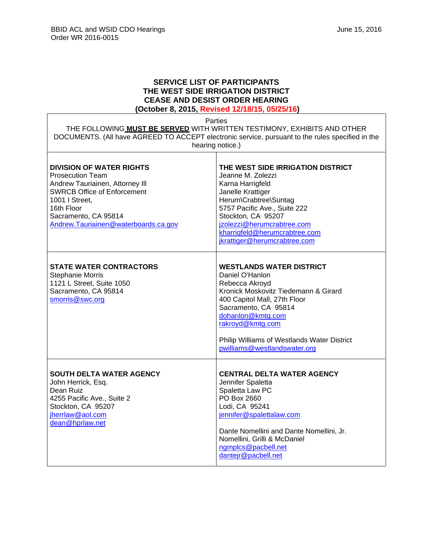$\Gamma$ 

 $\overline{\mathsf{I}}$ 

## **SERVICE LIST OF PARTICIPANTS THE WEST SIDE IRRIGATION DISTRICT CEASE AND DESIST ORDER HEARING**

**(October 8, 2015, Revised 12/18/15, 05/25/16)**

| Parties<br>THE FOLLOWING MUST BE SERVED WITH WRITTEN TESTIMONY, EXHIBITS AND OTHER<br>DOCUMENTS. (All have AGREED TO ACCEPT electronic service, pursuant to the rules specified in the<br>hearing notice.)                          |                                                                                                                                                                                                                                                                                              |  |
|-------------------------------------------------------------------------------------------------------------------------------------------------------------------------------------------------------------------------------------|----------------------------------------------------------------------------------------------------------------------------------------------------------------------------------------------------------------------------------------------------------------------------------------------|--|
| <b>DIVISION OF WATER RIGHTS</b><br><b>Prosecution Team</b><br>Andrew Tauriainen, Attorney III<br><b>SWRCB Office of Enforcement</b><br>1001   Street,<br>16th Floor<br>Sacramento, CA 95814<br>Andrew.Tauriainen@waterboards.ca.gov | THE WEST SIDE IRRIGATION DISTRICT<br>Jeanne M. Zolezzi<br>Karna Harrigfeld<br>Janelle Krattiger<br>Herum\Crabtree\Suntag<br>5757 Pacific Ave., Suite 222<br>Stockton, CA 95207<br>jzolezzi@herumcrabtree.com<br>kharrigfeld@herumcrabtree.com<br>jkrattiger@herumcrabtree.com                |  |
| <b>STATE WATER CONTRACTORS</b><br>Stephanie Morris<br>1121 L Street, Suite 1050<br>Sacramento, CA 95814<br>smorris@swc.org                                                                                                          | <b>WESTLANDS WATER DISTRICT</b><br>Daniel O'Hanlon<br>Rebecca Akroyd<br>Kronick Moskovitz Tiedemann & Girard<br>400 Capitol Mall, 27th Floor<br>Sacramento, CA 95814<br>dohanlon@kmtg.com<br>rakroyd@kmtg.com<br>Philip Williams of Westlands Water District<br>pwilliams@westlandswater.org |  |
| <b>SOUTH DELTA WATER AGENCY</b><br>John Herrick, Esq.<br>Dean Ruiz<br>4255 Pacific Ave., Suite 2<br>Stockton, CA 95207<br>jherrlaw@aol.com<br>dean@hprlaw.net                                                                       | <b>CENTRAL DELTA WATER AGENCY</b><br>Jennifer Spaletta<br>Spaletta Law PC<br>PO Box 2660<br>Lodi, CA 95241<br>jennifer@spalettalaw.com<br>Dante Nomellini and Dante Nomellini, Jr.<br>Nomellini, Grilli & McDaniel<br>ngmplcs@pacbell.net<br>dantejr@pacbell.net                             |  |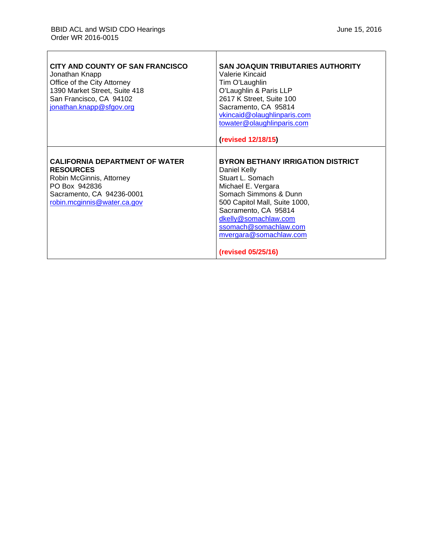$\overline{\phantom{a}}$ 

⅂

| CITY AND COUNTY OF SAN FRANCISCO<br>Jonathan Knapp<br>Office of the City Attorney<br>1390 Market Street, Suite 418<br>San Francisco, CA 94102<br>jonathan.knapp@sfgov.org | <b>SAN JOAQUIN TRIBUTARIES AUTHORITY</b><br>Valerie Kincaid<br>Tim O'Laughlin<br>O'Laughlin & Paris LLP<br>2617 K Street, Suite 100<br>Sacramento, CA 95814<br>vkincaid@olaughlinparis.com<br>towater@olaughlinparis.com<br>(revised 12/18/15)                                        |
|---------------------------------------------------------------------------------------------------------------------------------------------------------------------------|---------------------------------------------------------------------------------------------------------------------------------------------------------------------------------------------------------------------------------------------------------------------------------------|
| <b>CALIFORNIA DEPARTMENT OF WATER</b><br><b>RESOURCES</b><br>Robin McGinnis, Attorney<br>PO Box 942836<br>Sacramento, CA 94236-0001<br>robin.mcginnis@water.ca.gov        | <b>BYRON BETHANY IRRIGATION DISTRICT</b><br>Daniel Kelly<br>Stuart L. Somach<br>Michael E. Vergara<br>Somach Simmons & Dunn<br>500 Capitol Mall, Suite 1000,<br>Sacramento, CA 95814<br>dkelly@somachlaw.com<br>ssomach@somachlaw.com<br>mvergara@somachlaw.com<br>(revised 05/25/16) |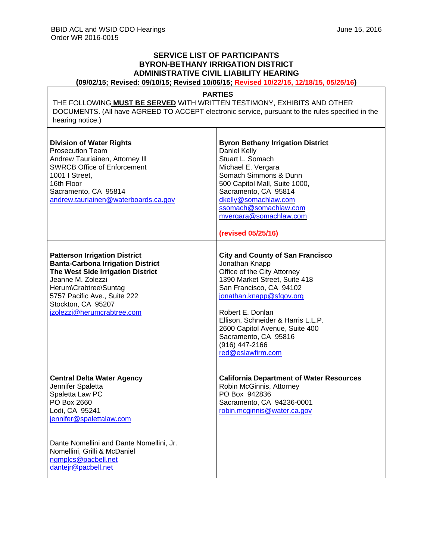## **SERVICE LIST OF PARTICIPANTS BYRON-BETHANY IRRIGATION DISTRICT ADMINISTRATIVE CIVIL LIABILITY HEARING**

**(09/02/15; Revised: 09/10/15; Revised 10/06/15; Revised 10/22/15, 12/18/15, 05/25/16)**

## **PARTIES**

THE FOLLOWING **MUST BE SERVED** WITH WRITTEN TESTIMONY, EXHIBITS AND OTHER DOCUMENTS. (All have AGREED TO ACCEPT electronic service, pursuant to the rules specified in the hearing notice.)

 $\top$ 

| <b>Division of Water Rights</b><br><b>Prosecution Team</b><br>Andrew Tauriainen, Attorney III<br><b>SWRCB Office of Enforcement</b><br>1001   Street,<br>16th Floor<br>Sacramento, CA 95814<br>andrew.tauriainen@waterboards.ca.gov                              | <b>Byron Bethany Irrigation District</b><br>Daniel Kelly<br>Stuart L. Somach<br>Michael E. Vergara<br>Somach Simmons & Dunn<br>500 Capitol Mall, Suite 1000,<br>Sacramento, CA 95814<br>dkelly@somachlaw.com<br>ssomach@somachlaw.com<br>mvergara@somachlaw.com<br>(revised 05/25/16)                                                       |
|------------------------------------------------------------------------------------------------------------------------------------------------------------------------------------------------------------------------------------------------------------------|---------------------------------------------------------------------------------------------------------------------------------------------------------------------------------------------------------------------------------------------------------------------------------------------------------------------------------------------|
| <b>Patterson Irrigation District</b><br><b>Banta-Carbona Irrigation District</b><br>The West Side Irrigation District<br>Jeanne M. Zolezzi<br>Herum\Crabtree\Suntag<br>5757 Pacific Ave., Suite 222<br>Stockton, CA 95207<br>jzolezzi@herumcrabtree.com          | <b>City and County of San Francisco</b><br>Jonathan Knapp<br>Office of the City Attorney<br>1390 Market Street, Suite 418<br>San Francisco, CA 94102<br>jonathan.knapp@sfgov.org<br>Robert E. Donlan<br>Ellison, Schneider & Harris L.L.P.<br>2600 Capitol Avenue, Suite 400<br>Sacramento, CA 95816<br>(916) 447-2166<br>red@eslawfirm.com |
| <b>Central Delta Water Agency</b><br>Jennifer Spaletta<br>Spaletta Law PC<br>PO Box 2660<br>Lodi, CA 95241<br>jennifer@spalettalaw.com<br>Dante Nomellini and Dante Nomellini, Jr.<br>Nomellini, Grilli & McDaniel<br>ngmplcs@pacbell.net<br>dantejr@pacbell.net | <b>California Department of Water Resources</b><br>Robin McGinnis, Attorney<br>PO Box 942836<br>Sacramento, CA 94236-0001<br>robin.mcginnis@water.ca.gov                                                                                                                                                                                    |